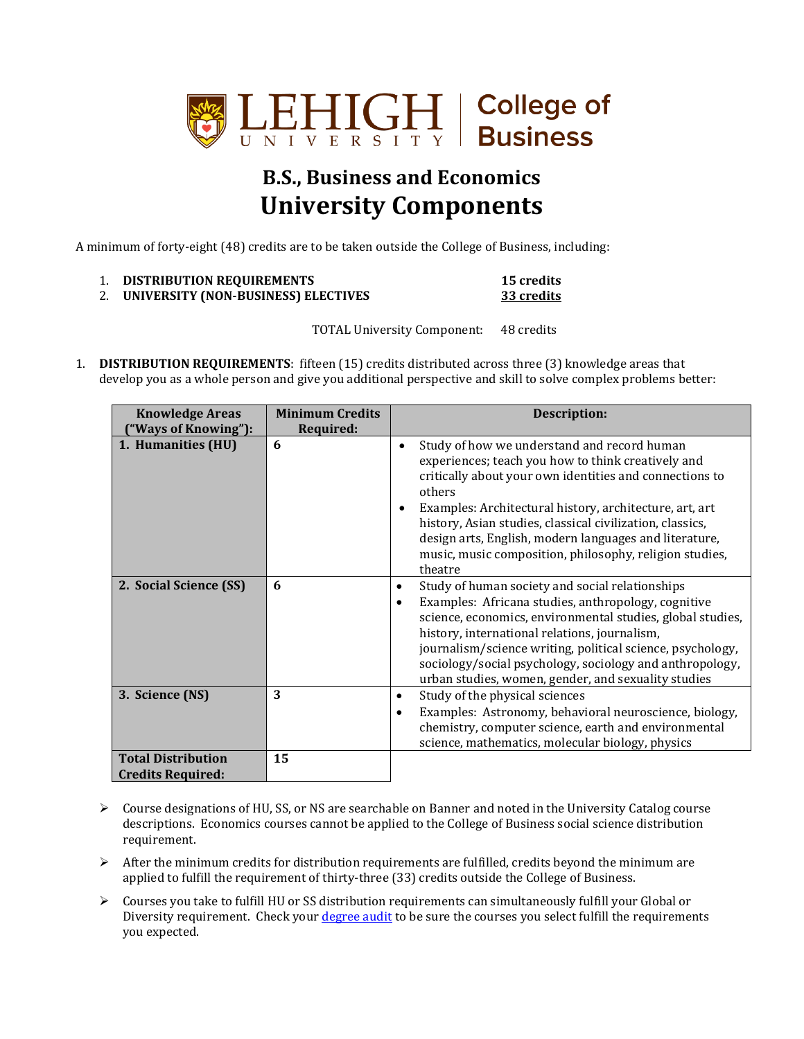

## **B.S., Business and Economics University Components**

A minimum of forty-eight (48) credits are to be taken outside the College of Business, including:

| 1. DISTRIBUTION REQUIREMENTS |
|------------------------------|
|------------------------------|

```
15 credits
2. UNIVERSITY (NON-BUSINESS) ELECTIVES 33 credits
```
TOTAL University Component: 48 credits

1. **DISTRIBUTION REQUIREMENTS**: fifteen (15) credits distributed across three (3) knowledge areas that develop you as a whole person and give you additional perspective and skill to solve complex problems better:

| <b>Knowledge Areas</b><br>"Ways of Knowing"):         | <b>Minimum Credits</b><br>Required: | <b>Description:</b>                                                                                                                                                                                                                                                                                                                                                                                                              |
|-------------------------------------------------------|-------------------------------------|----------------------------------------------------------------------------------------------------------------------------------------------------------------------------------------------------------------------------------------------------------------------------------------------------------------------------------------------------------------------------------------------------------------------------------|
| 1. Humanities (HU)                                    | 6                                   | Study of how we understand and record human<br>experiences; teach you how to think creatively and<br>critically about your own identities and connections to<br>others<br>Examples: Architectural history, architecture, art, art<br>history, Asian studies, classical civilization, classics,<br>design arts, English, modern languages and literature,<br>music, music composition, philosophy, religion studies,<br>theatre   |
| 2. Social Science (SS)                                | 6                                   | Study of human society and social relationships<br>$\bullet$<br>Examples: Africana studies, anthropology, cognitive<br>$\bullet$<br>science, economics, environmental studies, global studies,<br>history, international relations, journalism,<br>journalism/science writing, political science, psychology,<br>sociology/social psychology, sociology and anthropology,<br>urban studies, women, gender, and sexuality studies |
| 3. Science (NS)                                       | 3                                   | Study of the physical sciences<br>٠<br>Examples: Astronomy, behavioral neuroscience, biology,<br>chemistry, computer science, earth and environmental<br>science, mathematics, molecular biology, physics                                                                                                                                                                                                                        |
| <b>Total Distribution</b><br><b>Credits Required:</b> | 15                                  |                                                                                                                                                                                                                                                                                                                                                                                                                                  |

- Course designations of HU, SS, or NS are searchable on Banner and noted in the University Catalog course descriptions. Economics courses cannot be applied to the College of Business social science distribution requirement.
- $\triangleright$  After the minimum credits for distribution requirements are fulfilled, credits beyond the minimum are applied to fulfill the requirement of thirty-three (33) credits outside the College of Business.
- $\triangleright$  Courses you take to fulfill HU or SS distribution requirements can simultaneously fulfill your Global or Diversity requirement. Check your *degree audit* to be sure the courses you select fulfill the requirements you expected.